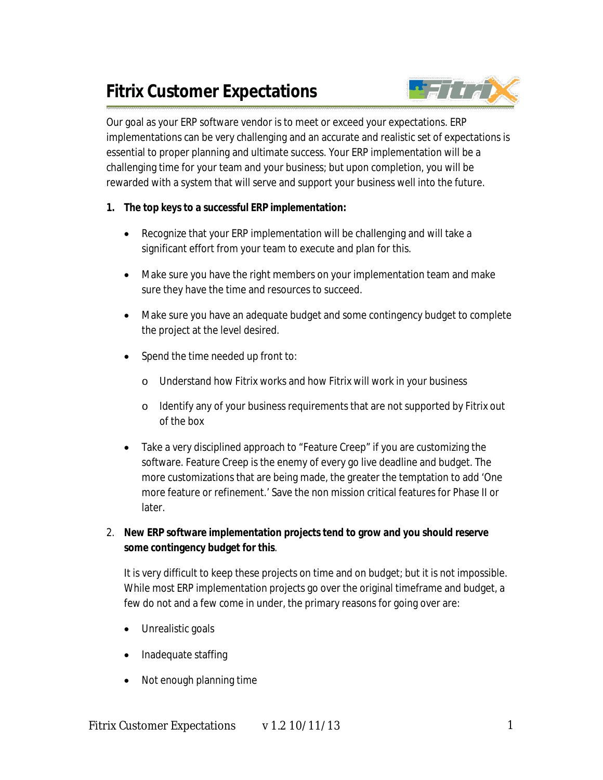# **Fitrix Customer Expectations**



Our goal as your ERP software vendor is to meet or exceed your expectations. ERP implementations can be very challenging and an accurate and realistic set of expectations is essential to proper planning and ultimate success. Your ERP implementation will be a challenging time for your team and your business; but upon completion, you will be rewarded with a system that will serve and support your business well into the future.

# **1. The top keys to a successful ERP implementation:**

- Recognize that your ERP implementation will be challenging and will take a significant effort from your team to execute and plan for this.
- Make sure you have the right members on your implementation team and make sure they have the time and resources to succeed.
- Make sure you have an adequate budget and some contingency budget to complete the project at the level desired.
- Spend the time needed up front to:
	- o Understand how Fitrix works and how Fitrix will work in your business
	- o Identify any of your business requirements that are not supported by Fitrix out of the box
- Take a very disciplined approach to "Feature Creep" if you are customizing the software. Feature Creep is the enemy of every go live deadline and budget. The more customizations that are being made, the greater the temptation to add 'One more feature or refinement.' Save the non mission critical features for Phase II or later.
- 2. **New ERP software implementation projects tend to grow and you should reserve some contingency budget for this**.

It is very difficult to keep these projects on time and on budget; but it is not impossible. While most ERP implementation projects go over the original timeframe and budget, a few do not and a few come in under, the primary reasons for going over are:

- Unrealistic goals
- Inadequate staffing
- Not enough planning time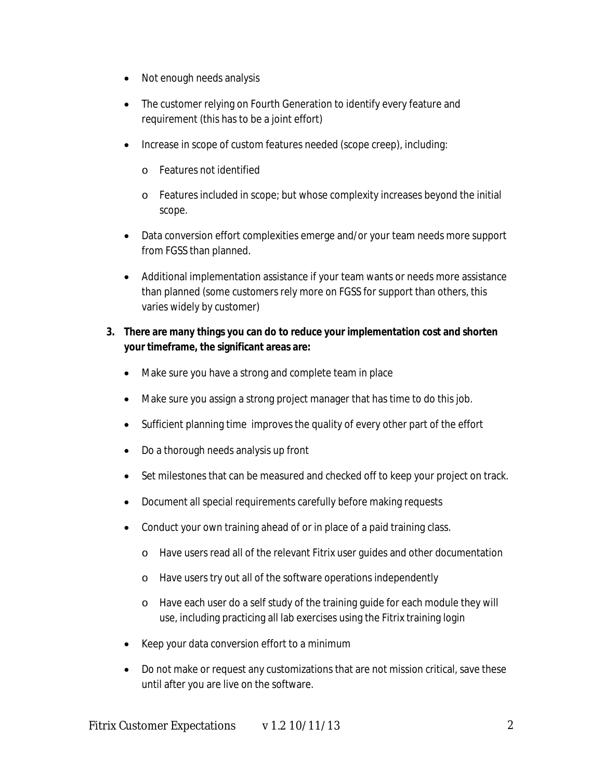- Not enough needs analysis
- The customer relying on Fourth Generation to identify every feature and requirement (this has to be a joint effort)
- Increase in scope of custom features needed (scope creep), including:
	- o Features not identified
	- o Features included in scope; but whose complexity increases beyond the initial scope.
- Data conversion effort complexities emerge and/or your team needs more support from FGSS than planned.
- Additional implementation assistance if your team wants or needs more assistance than planned (some customers rely more on FGSS for support than others, this varies widely by customer)

# **3. There are many things you can do to reduce your implementation cost and shorten your timeframe, the significant areas are:**

- Make sure you have a strong and complete team in place
- Make sure you assign a strong project manager that has time to do this job.
- Sufficient planning time improves the quality of every other part of the effort
- Do a thorough needs analysis up front
- Set milestones that can be measured and checked off to keep your project on track.
- Document all special requirements carefully before making requests
- Conduct your own training ahead of or in place of a paid training class.
	- o Have users read all of the relevant Fitrix user guides and other documentation
	- o Have users try out all of the software operations independently
	- o Have each user do a self study of the training guide for each module they will use, including practicing all lab exercises using the Fitrix training login
- Keep your data conversion effort to a minimum
- Do not make or request any customizations that are not mission critical, save these until after you are live on the software.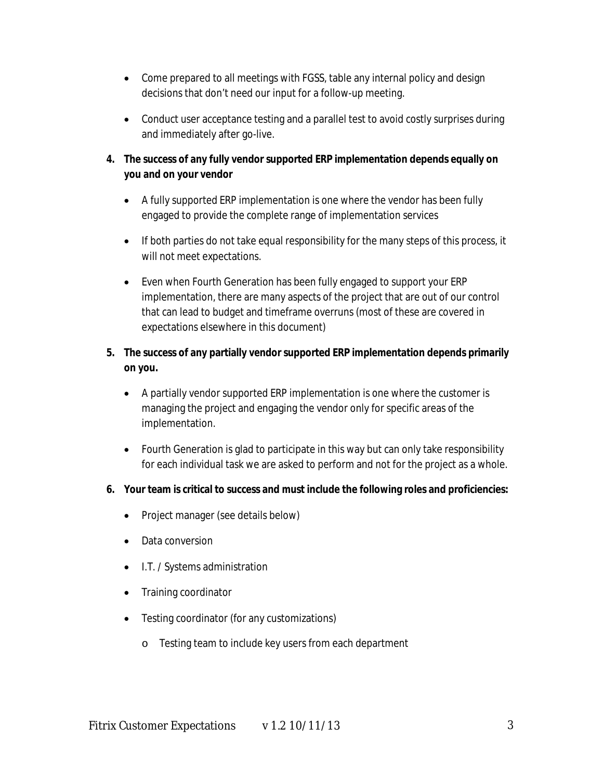- Come prepared to all meetings with FGSS, table any internal policy and design decisions that don't need our input for a follow-up meeting.
- Conduct user acceptance testing and a parallel test to avoid costly surprises during and immediately after go-live.

# **4. The success of any fully vendor supported ERP implementation depends equally on you and on your vendor**

- A fully supported ERP implementation is one where the vendor has been fully engaged to provide the complete range of implementation services
- If both parties do not take equal responsibility for the many steps of this process, it will not meet expectations.
- Even when Fourth Generation has been fully engaged to support your ERP implementation, there are many aspects of the project that are out of our control that can lead to budget and timeframe overruns (most of these are covered in expectations elsewhere in this document)

# **5. The success of any partially vendor supported ERP implementation depends primarily on you.**

- A partially vendor supported ERP implementation is one where the customer is managing the project and engaging the vendor only for specific areas of the implementation.
- Fourth Generation is glad to participate in this way but can only take responsibility for each individual task we are asked to perform and not for the project as a whole.

## **6. Your team is critical to success and must include the following roles and proficiencies:**

- Project manager (see details below)
- Data conversion
- I.T. / Systems administration
- Training coordinator
- Testing coordinator (for any customizations)
	- o Testing team to include key users from each department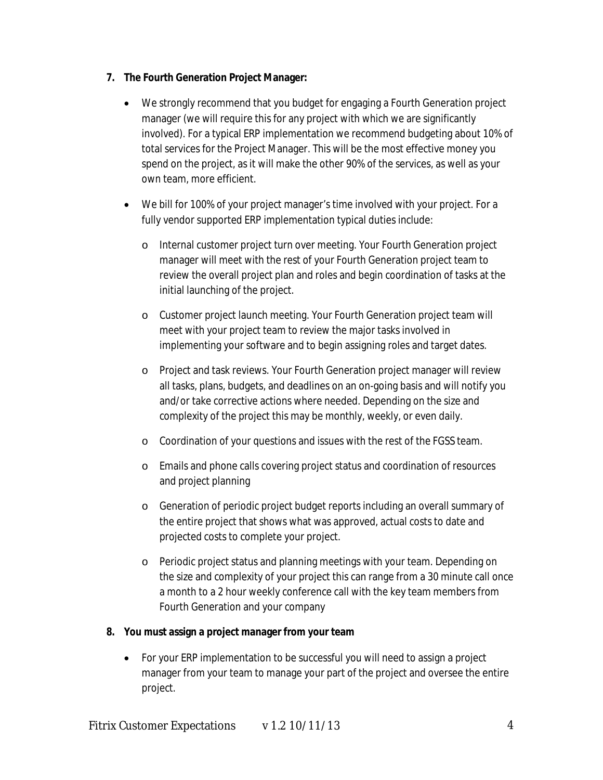## **7. The Fourth Generation Project Manager:**

- We strongly recommend that you budget for engaging a Fourth Generation project manager (we will require this for any project with which we are significantly involved). For a typical ERP implementation we recommend budgeting about 10% of total services for the Project Manager. This will be the most effective money you spend on the project, as it will make the other 90% of the services, as well as your own team, more efficient.
- We bill for 100% of your project manager's time involved with your project. For a fully vendor supported ERP implementation typical duties include:
	- o Internal customer project turn over meeting. Your Fourth Generation project manager will meet with the rest of your Fourth Generation project team to review the overall project plan and roles and begin coordination of tasks at the initial launching of the project.
	- o Customer project launch meeting. Your Fourth Generation project team will meet with your project team to review the major tasks involved in implementing your software and to begin assigning roles and target dates.
	- o Project and task reviews. Your Fourth Generation project manager will review all tasks, plans, budgets, and deadlines on an on-going basis and will notify you and/or take corrective actions where needed. Depending on the size and complexity of the project this may be monthly, weekly, or even daily.
	- o Coordination of your questions and issues with the rest of the FGSS team.
	- o Emails and phone calls covering project status and coordination of resources and project planning
	- o Generation of periodic project budget reports including an overall summary of the entire project that shows what was approved, actual costs to date and projected costs to complete your project.
	- o Periodic project status and planning meetings with your team. Depending on the size and complexity of your project this can range from a 30 minute call once a month to a 2 hour weekly conference call with the key team members from Fourth Generation and your company

## **8. You must assign a project manager from your team**

 For your ERP implementation to be successful you will need to assign a project manager from your team to manage your part of the project and oversee the entire project.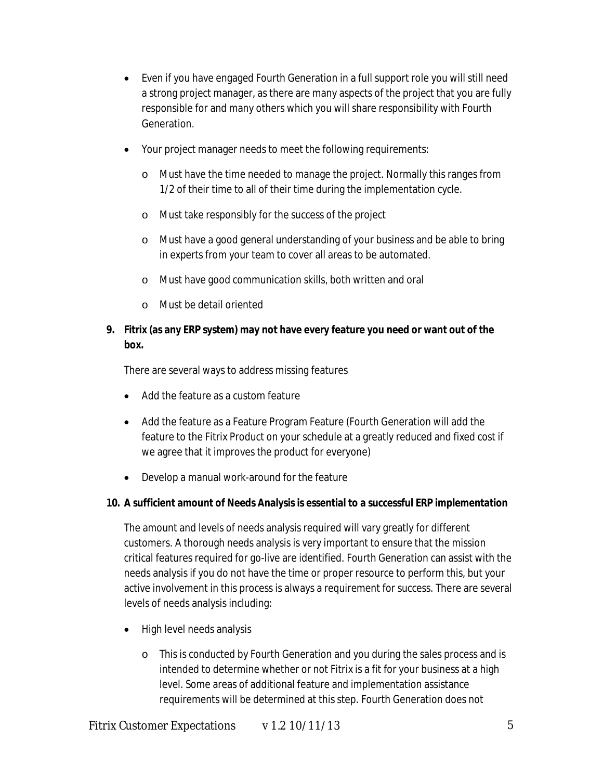- Even if you have engaged Fourth Generation in a full support role you will still need a strong project manager, as there are many aspects of the project that you are fully responsible for and many others which you will share responsibility with Fourth Generation.
- Your project manager needs to meet the following requirements:
	- o Must have the time needed to manage the project. Normally this ranges from 1/2 of their time to all of their time during the implementation cycle.
	- o Must take responsibly for the success of the project
	- o Must have a good general understanding of your business and be able to bring in experts from your team to cover all areas to be automated.
	- o Must have good communication skills, both written and oral
	- o Must be detail oriented

## **9. Fitrix (as any ERP system) may not have every feature you need or want out of the box.**

There are several ways to address missing features

- Add the feature as a custom feature
- Add the feature as a Feature Program Feature (Fourth Generation will add the feature to the Fitrix Product on your schedule at a greatly reduced and fixed cost if we agree that it improves the product for everyone)
- Develop a manual work-around for the feature

## **10. A sufficient amount of Needs Analysis is essential to a successful ERP implementation**

The amount and levels of needs analysis required will vary greatly for different customers. A thorough needs analysis is very important to ensure that the mission critical features required for go-live are identified. Fourth Generation can assist with the needs analysis if you do not have the time or proper resource to perform this, but your active involvement in this process is always a requirement for success. There are several levels of needs analysis including:

- High level needs analysis
	- o This is conducted by Fourth Generation and you during the sales process and is intended to determine whether or not Fitrix is a fit for your business at a high level. Some areas of additional feature and implementation assistance requirements will be determined at this step. Fourth Generation does not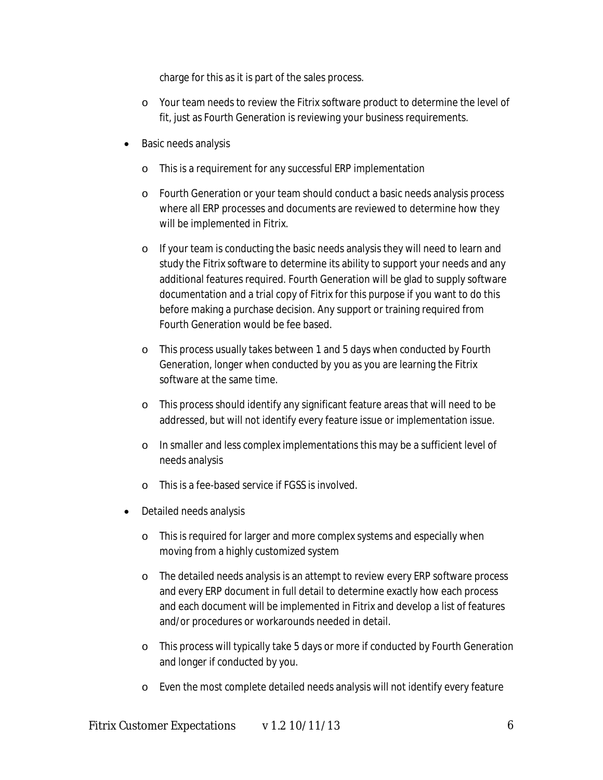charge for this as it is part of the sales process.

- o Your team needs to review the Fitrix software product to determine the level of fit, just as Fourth Generation is reviewing your business requirements.
- Basic needs analysis
	- o This is a requirement for any successful ERP implementation
	- o Fourth Generation or your team should conduct a basic needs analysis process where all ERP processes and documents are reviewed to determine how they will be implemented in Fitrix.
	- o If your team is conducting the basic needs analysis they will need to learn and study the Fitrix software to determine its ability to support your needs and any additional features required. Fourth Generation will be glad to supply software documentation and a trial copy of Fitrix for this purpose if you want to do this before making a purchase decision. Any support or training required from Fourth Generation would be fee based.
	- o This process usually takes between 1 and 5 days when conducted by Fourth Generation, longer when conducted by you as you are learning the Fitrix software at the same time.
	- o This process should identify any significant feature areas that will need to be addressed, but will not identify every feature issue or implementation issue.
	- o In smaller and less complex implementations this may be a sufficient level of needs analysis
	- o This is a fee-based service if FGSS is involved.
- Detailed needs analysis
	- o This is required for larger and more complex systems and especially when moving from a highly customized system
	- o The detailed needs analysis is an attempt to review every ERP software process and every ERP document in full detail to determine exactly how each process and each document will be implemented in Fitrix and develop a list of features and/or procedures or workarounds needed in detail.
	- o This process will typically take 5 days or more if conducted by Fourth Generation and longer if conducted by you.
	- o Even the most complete detailed needs analysis will not identify every feature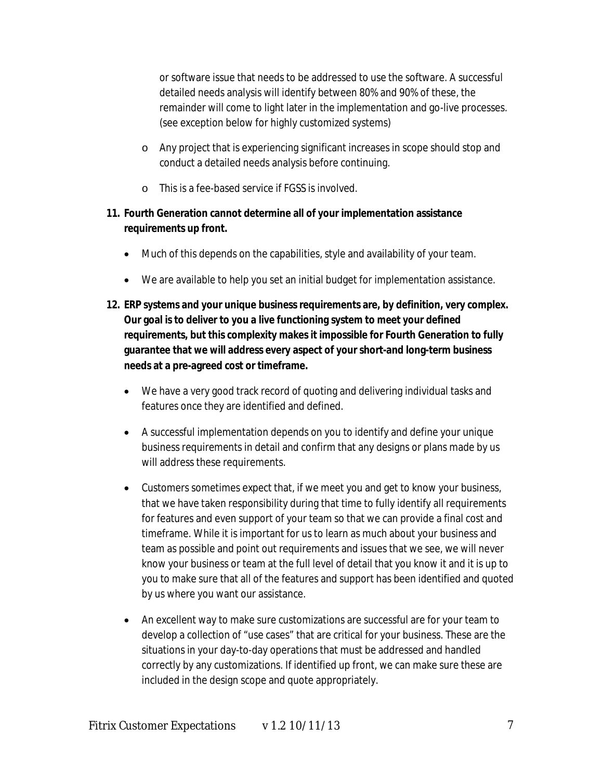or software issue that needs to be addressed to use the software. A successful detailed needs analysis will identify between 80% and 90% of these, the remainder will come to light later in the implementation and go-live processes. (see exception below for highly customized systems)

- o Any project that is experiencing significant increases in scope should stop and conduct a detailed needs analysis before continuing.
- o This is a fee-based service if FGSS is involved.

# **11. Fourth Generation cannot determine all of your implementation assistance requirements up front.**

- Much of this depends on the capabilities, style and availability of your team.
- We are available to help you set an initial budget for implementation assistance.
- **12. ERP systems and your unique business requirements are, by definition, very complex. Our goal is to deliver to you a live functioning system to meet your defined requirements, but this complexity makes it impossible for Fourth Generation to fully guarantee that we will address every aspect of your short-and long-term business needs at a pre-agreed cost or timeframe.**
	- We have a very good track record of quoting and delivering individual tasks and features once they are identified and defined.
	- A successful implementation depends on you to identify and define your unique business requirements in detail and confirm that any designs or plans made by us will address these requirements.
	- Customers sometimes expect that, if we meet you and get to know your business, that we have taken responsibility during that time to fully identify all requirements for features and even support of your team so that we can provide a final cost and timeframe. While it is important for us to learn as much about your business and team as possible and point out requirements and issues that we see, we will never know your business or team at the full level of detail that you know it and it is up to you to make sure that all of the features and support has been identified and quoted by us where you want our assistance.
	- An excellent way to make sure customizations are successful are for your team to develop a collection of "use cases" that are critical for your business. These are the situations in your day-to-day operations that must be addressed and handled correctly by any customizations. If identified up front, we can make sure these are included in the design scope and quote appropriately.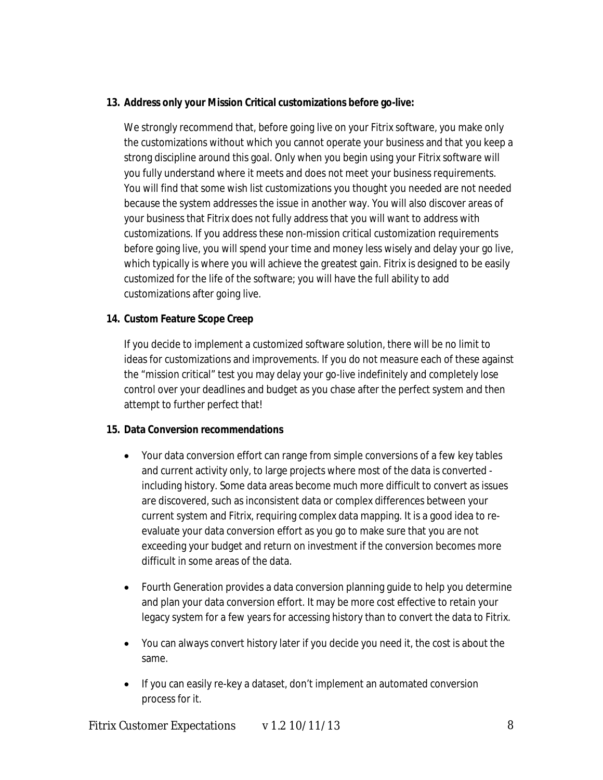#### **13. Address only your Mission Critical customizations before go-live:**

We strongly recommend that, before going live on your Fitrix software, you make only the customizations without which you cannot operate your business and that you keep a strong discipline around this goal. Only when you begin using your Fitrix software will you fully understand where it meets and does not meet your business requirements. You will find that some wish list customizations you thought you needed are not needed because the system addresses the issue in another way. You will also discover areas of your business that Fitrix does not fully address that you will want to address with customizations. If you address these non-mission critical customization requirements before going live, you will spend your time and money less wisely and delay your go live, which typically is where you will achieve the greatest gain. Fitrix is designed to be easily customized for the life of the software; you will have the full ability to add customizations after going live.

#### **14. Custom Feature Scope Creep**

If you decide to implement a customized software solution, there will be no limit to ideas for customizations and improvements. If you do not measure each of these against the "mission critical" test you may delay your go-live indefinitely and completely lose control over your deadlines and budget as you chase after the perfect system and then attempt to further perfect that!

#### **15. Data Conversion recommendations**

- Your data conversion effort can range from simple conversions of a few key tables and current activity only, to large projects where most of the data is converted including history. Some data areas become much more difficult to convert as issues are discovered, such as inconsistent data or complex differences between your current system and Fitrix, requiring complex data mapping. It is a good idea to reevaluate your data conversion effort as you go to make sure that you are not exceeding your budget and return on investment if the conversion becomes more difficult in some areas of the data.
- Fourth Generation provides a data conversion planning guide to help you determine and plan your data conversion effort. It may be more cost effective to retain your legacy system for a few years for accessing history than to convert the data to Fitrix.
- You can always convert history later if you decide you need it, the cost is about the same.
- If you can easily re-key a dataset, don't implement an automated conversion process for it.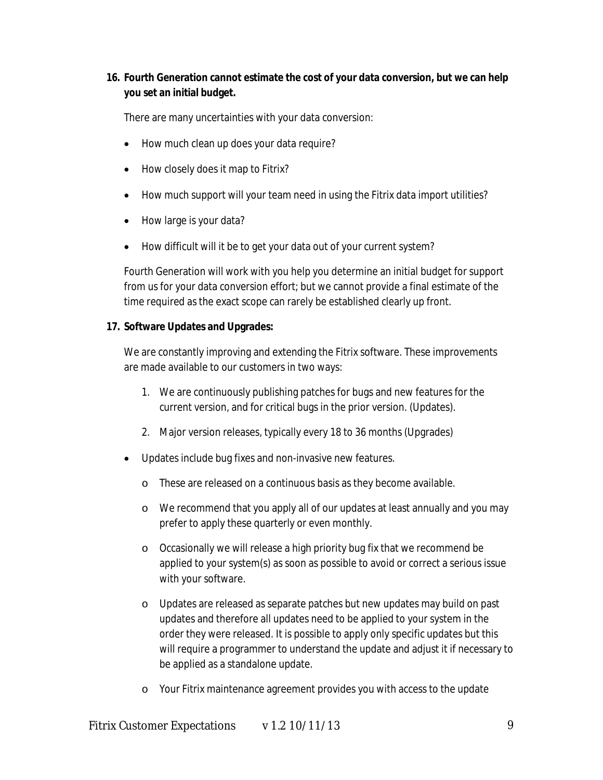# **16. Fourth Generation cannot estimate the cost of your data conversion, but we can help you set an initial budget.**

There are many uncertainties with your data conversion:

- How much clean up does your data require?
- How closely does it map to Fitrix?
- How much support will your team need in using the Fitrix data import utilities?
- How large is your data?
- How difficult will it be to get your data out of your current system?

Fourth Generation will work with you help you determine an initial budget for support from us for your data conversion effort; but we cannot provide a final estimate of the time required as the exact scope can rarely be established clearly up front.

#### **17. Software Updates and Upgrades:**

We are constantly improving and extending the Fitrix software. These improvements are made available to our customers in two ways:

- 1. We are continuously publishing patches for bugs and new features for the current version, and for critical bugs in the prior version. (Updates).
- 2. Major version releases, typically every 18 to 36 months (Upgrades)
- Updates include bug fixes and non-invasive new features.
	- o These are released on a continuous basis as they become available.
	- o We recommend that you apply all of our updates at least annually and you may prefer to apply these quarterly or even monthly.
	- o Occasionally we will release a high priority bug fix that we recommend be applied to your system(s) as soon as possible to avoid or correct a serious issue with your software.
	- o Updates are released as separate patches but new updates may build on past updates and therefore all updates need to be applied to your system in the order they were released. It is possible to apply only specific updates but this will require a programmer to understand the update and adjust it if necessary to be applied as a standalone update.
	- o Your Fitrix maintenance agreement provides you with access to the update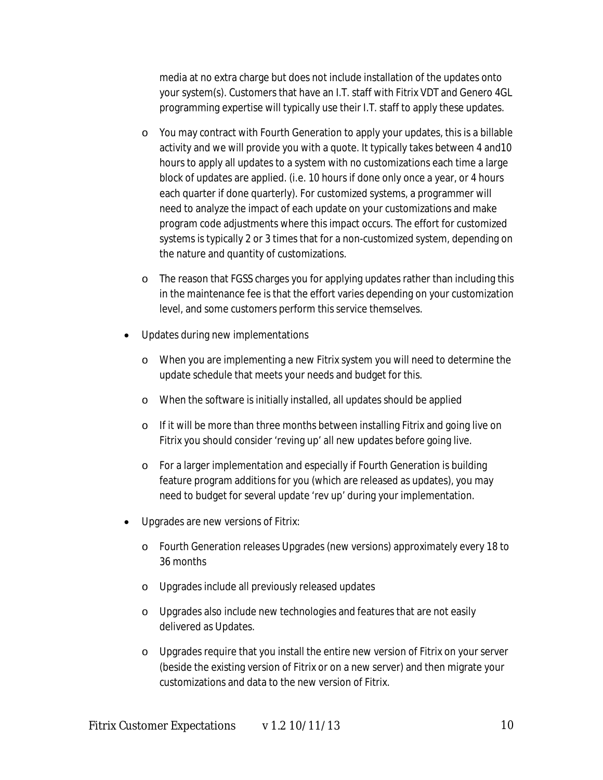media at no extra charge but does not include installation of the updates onto your system(s). Customers that have an I.T. staff with Fitrix VDT and Genero 4GL programming expertise will typically use their I.T. staff to apply these updates.

- $\circ$  You may contract with Fourth Generation to apply your updates, this is a billable activity and we will provide you with a quote. It typically takes between 4 and10 hours to apply all updates to a system with no customizations each time a large block of updates are applied. (i.e. 10 hours if done only once a year, or 4 hours each quarter if done quarterly). For customized systems, a programmer will need to analyze the impact of each update on your customizations and make program code adjustments where this impact occurs. The effort for customized systems is typically 2 or 3 times that for a non-customized system, depending on the nature and quantity of customizations.
- o The reason that FGSS charges you for applying updates rather than including this in the maintenance fee is that the effort varies depending on your customization level, and some customers perform this service themselves.
- Updates during new implementations
	- o When you are implementing a new Fitrix system you will need to determine the update schedule that meets your needs and budget for this.
	- o When the software is initially installed, all updates should be applied
	- o If it will be more than three months between installing Fitrix and going live on Fitrix you should consider 'reving up' all new updates before going live.
	- o For a larger implementation and especially if Fourth Generation is building feature program additions for you (which are released as updates), you may need to budget for several update 'rev up' during your implementation.
- Upgrades are new versions of Fitrix:
	- o Fourth Generation releases Upgrades (new versions) approximately every 18 to 36 months
	- o Upgrades include all previously released updates
	- o Upgrades also include new technologies and features that are not easily delivered as Updates.
	- o Upgrades require that you install the entire new version of Fitrix on your server (beside the existing version of Fitrix or on a new server) and then migrate your customizations and data to the new version of Fitrix.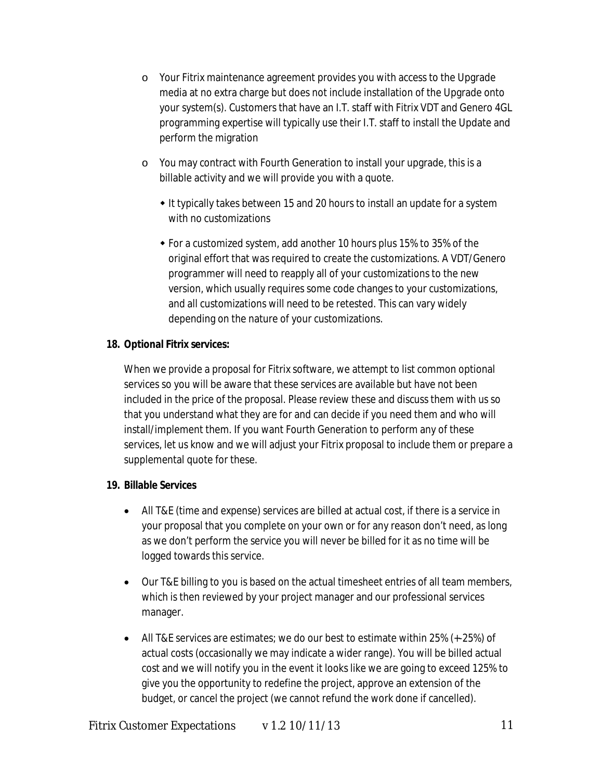- o Your Fitrix maintenance agreement provides you with access to the Upgrade media at no extra charge but does not include installation of the Upgrade onto your system(s). Customers that have an I.T. staff with Fitrix VDT and Genero 4GL programming expertise will typically use their I.T. staff to install the Update and perform the migration
- o You may contract with Fourth Generation to install your upgrade, this is a billable activity and we will provide you with a quote.
	- It typically takes between 15 and 20 hours to install an update for a system with no customizations
	- For a customized system, add another 10 hours plus 15% to 35% of the original effort that was required to create the customizations. A VDT/Genero programmer will need to reapply all of your customizations to the new version, which usually requires some code changes to your customizations, and all customizations will need to be retested. This can vary widely depending on the nature of your customizations.

## **18. Optional Fitrix services:**

When we provide a proposal for Fitrix software, we attempt to list common optional services so you will be aware that these services are available but have not been included in the price of the proposal. Please review these and discuss them with us so that you understand what they are for and can decide if you need them and who will install/implement them. If you want Fourth Generation to perform any of these services, let us know and we will adjust your Fitrix proposal to include them or prepare a supplemental quote for these.

## **19. Billable Services**

- All T&E (time and expense) services are billed at actual cost, if there is a service in your proposal that you complete on your own or for any reason don't need, as long as we don't perform the service you will never be billed for it as no time will be logged towards this service.
- Our T&E billing to you is based on the actual timesheet entries of all team members, which is then reviewed by your project manager and our professional services manager.
- All T&E services are estimates; we do our best to estimate within 25% (+-25%) of actual costs (occasionally we may indicate a wider range). You will be billed actual cost and we will notify you in the event it looks like we are going to exceed 125% to give you the opportunity to redefine the project, approve an extension of the budget, or cancel the project (we cannot refund the work done if cancelled).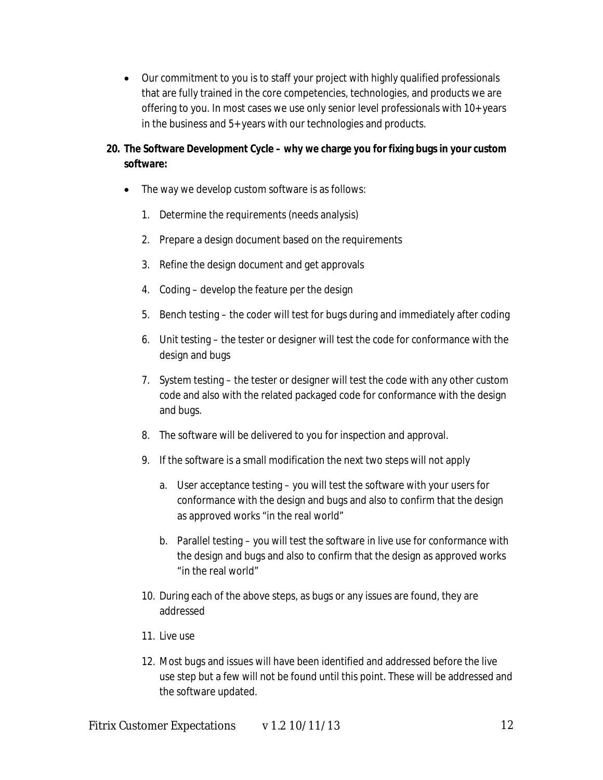Our commitment to you is to staff your project with highly qualified professionals that are fully trained in the core competencies, technologies, and products we are offering to you. In most cases we use only senior level professionals with 10+ years in the business and 5+ years with our technologies and products.

# **20. The Software Development Cycle – why we charge you for fixing bugs in your custom software:**

- The way we develop custom software is as follows:
	- 1. Determine the requirements (needs analysis)
	- 2. Prepare a design document based on the requirements
	- 3. Refine the design document and get approvals
	- 4. Coding develop the feature per the design
	- 5. Bench testing the coder will test for bugs during and immediately after coding
	- 6. Unit testing the tester or designer will test the code for conformance with the design and bugs
	- 7. System testing the tester or designer will test the code with any other custom code and also with the related packaged code for conformance with the design and bugs.
	- 8. The software will be delivered to you for inspection and approval.
	- 9. If the software is a small modification the next two steps will not apply
		- a. User acceptance testing you will test the software with your users for conformance with the design and bugs and also to confirm that the design as approved works "in the real world"
		- b. Parallel testing you will test the software in live use for conformance with the design and bugs and also to confirm that the design as approved works "in the real world"
	- 10. During each of the above steps, as bugs or any issues are found, they are addressed
	- 11. Live use
	- 12. Most bugs and issues will have been identified and addressed before the live use step but a few will not be found until this point. These will be addressed and the software updated.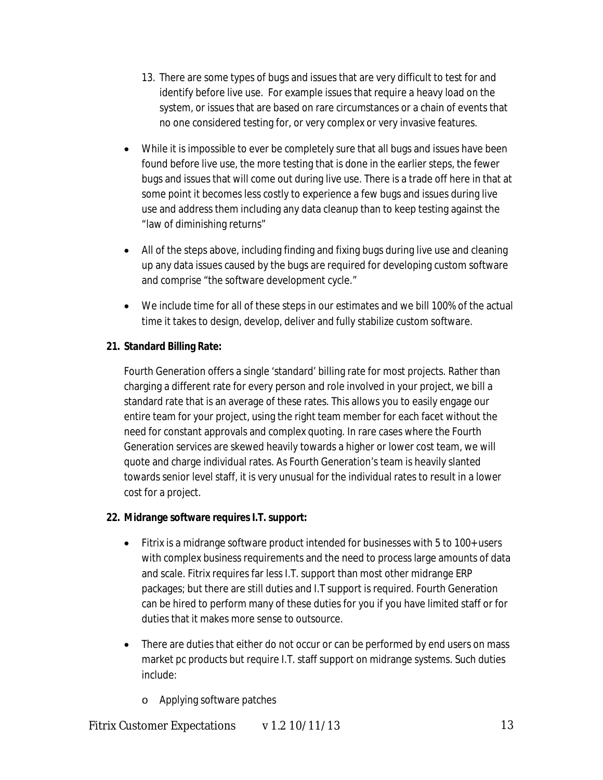- 13. There are some types of bugs and issues that are very difficult to test for and identify before live use. For example issues that require a heavy load on the system, or issues that are based on rare circumstances or a chain of events that no one considered testing for, or very complex or very invasive features.
- While it is impossible to ever be completely sure that all bugs and issues have been found before live use, the more testing that is done in the earlier steps, the fewer bugs and issues that will come out during live use. There is a trade off here in that at some point it becomes less costly to experience a few bugs and issues during live use and address them including any data cleanup than to keep testing against the "law of diminishing returns"
- All of the steps above, including finding and fixing bugs during live use and cleaning up any data issues caused by the bugs are required for developing custom software and comprise "the software development cycle."
- We include time for all of these steps in our estimates and we bill 100% of the actual time it takes to design, develop, deliver and fully stabilize custom software.

# **21. Standard Billing Rate:**

Fourth Generation offers a single 'standard' billing rate for most projects. Rather than charging a different rate for every person and role involved in your project, we bill a standard rate that is an average of these rates. This allows you to easily engage our entire team for your project, using the right team member for each facet without the need for constant approvals and complex quoting. In rare cases where the Fourth Generation services are skewed heavily towards a higher or lower cost team, we will quote and charge individual rates. As Fourth Generation's team is heavily slanted towards senior level staff, it is very unusual for the individual rates to result in a lower cost for a project.

## **22. Midrange software requires I.T. support:**

- Fitrix is a midrange software product intended for businesses with 5 to 100+ users with complex business requirements and the need to process large amounts of data and scale. Fitrix requires far less I.T. support than most other midrange ERP packages; but there are still duties and I.T support is required. Fourth Generation can be hired to perform many of these duties for you if you have limited staff or for duties that it makes more sense to outsource.
- There are duties that either do not occur or can be performed by end users on mass market pc products but require I.T. staff support on midrange systems. Such duties include:
	- o Applying software patches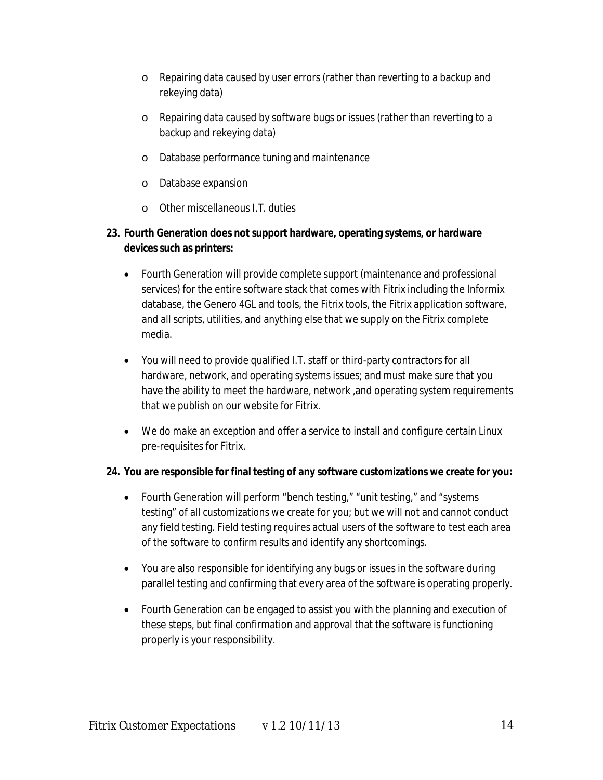- o Repairing data caused by user errors (rather than reverting to a backup and rekeying data)
- o Repairing data caused by software bugs or issues (rather than reverting to a backup and rekeying data)
- o Database performance tuning and maintenance
- o Database expansion
- o Other miscellaneous I.T. duties

# **23. Fourth Generation does not support hardware, operating systems, or hardware devices such as printers:**

- Fourth Generation will provide complete support (maintenance and professional services) for the entire software stack that comes with Fitrix including the Informix database, the Genero 4GL and tools, the Fitrix tools, the Fitrix application software, and all scripts, utilities, and anything else that we supply on the Fitrix complete media.
- You will need to provide qualified I.T. staff or third-party contractors for all hardware, network, and operating systems issues; and must make sure that you have the ability to meet the hardware, network ,and operating system requirements that we publish on our website for Fitrix.
- We do make an exception and offer a service to install and configure certain Linux pre-requisites for Fitrix.

## **24. You are responsible for final testing of any software customizations we create for you:**

- Fourth Generation will perform "bench testing," "unit testing," and "systems" testing" of all customizations we create for you; but we will not and cannot conduct any field testing. Field testing requires actual users of the software to test each area of the software to confirm results and identify any shortcomings.
- You are also responsible for identifying any bugs or issues in the software during parallel testing and confirming that every area of the software is operating properly.
- Fourth Generation can be engaged to assist you with the planning and execution of these steps, but final confirmation and approval that the software is functioning properly is your responsibility.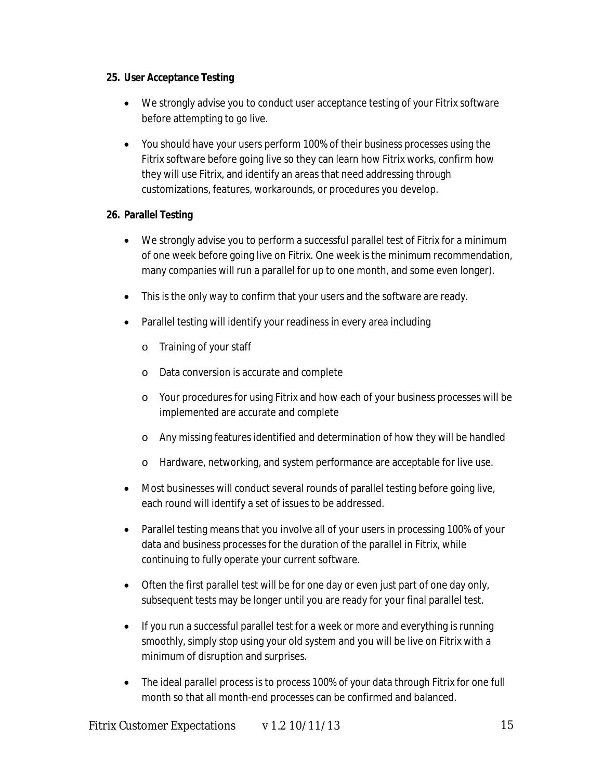#### **25. User Acceptance Testing**

- We strongly advise you to conduct user acceptance testing of your Fitrix software before attempting to go live.
- You should have your users perform 100% of their business processes using the Fitrix software before going live so they can learn how Fitrix works, confirm how they will use Fitrix, and identify an areas that need addressing through customizations, features, workarounds, or procedures you develop.

## **26. Parallel Testing**

- We strongly advise you to perform a successful parallel test of Fitrix for a minimum of one week before going live on Fitrix. One week is the minimum recommendation, many companies will run a parallel for up to one month, and some even longer).
- This is the only way to confirm that your users and the software are ready.
- Parallel testing will identify your readiness in every area including
	- o Training of your staff
	- o Data conversion is accurate and complete
	- o Your procedures for using Fitrix and how each of your business processes will be implemented are accurate and complete
	- o Any missing features identified and determination of how they will be handled
	- o Hardware, networking, and system performance are acceptable for live use.
- Most businesses will conduct several rounds of parallel testing before going live, each round will identify a set of issues to be addressed.
- Parallel testing means that you involve all of your users in processing 100% of your data and business processes for the duration of the parallel in Fitrix, while continuing to fully operate your current software.
- Often the first parallel test will be for one day or even just part of one day only, subsequent tests may be longer until you are ready for your final parallel test.
- If you run a successful parallel test for a week or more and everything is running smoothly, simply stop using your old system and you will be live on Fitrix with a minimum of disruption and surprises.
- The ideal parallel process is to process 100% of your data through Fitrix for one full month so that all month-end processes can be confirmed and balanced.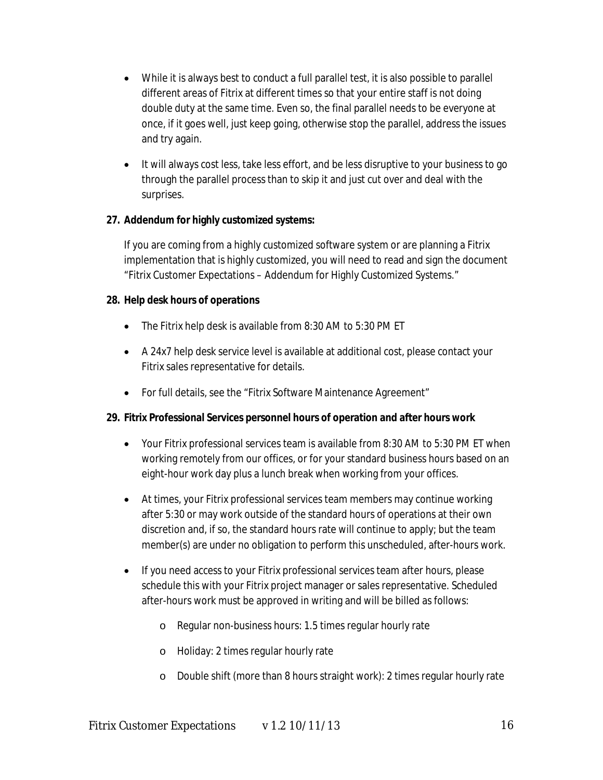- While it is always best to conduct a full parallel test, it is also possible to parallel different areas of Fitrix at different times so that your entire staff is not doing double duty at the same time. Even so, the final parallel needs to be everyone at once, if it goes well, just keep going, otherwise stop the parallel, address the issues and try again.
- It will always cost less, take less effort, and be less disruptive to your business to go through the parallel process than to skip it and just cut over and deal with the surprises.

#### **27. Addendum for highly customized systems:**

If you are coming from a highly customized software system or are planning a Fitrix implementation that is highly customized, you will need to read and sign the document "Fitrix Customer Expectations – Addendum for Highly Customized Systems."

#### **28. Help desk hours of operations**

- The Fitrix help desk is available from 8:30 AM to 5:30 PM ET
- A 24x7 help desk service level is available at additional cost, please contact your Fitrix sales representative for details.
- For full details, see the "Fitrix Software Maintenance Agreement"

## **29. Fitrix Professional Services personnel hours of operation and after hours work**

- Your Fitrix professional services team is available from 8:30 AM to 5:30 PM ET when working remotely from our offices, or for your standard business hours based on an eight-hour work day plus a lunch break when working from your offices.
- At times, your Fitrix professional services team members may continue working after 5:30 or may work outside of the standard hours of operations at their own discretion and, if so, the standard hours rate will continue to apply; but the team member(s) are under no obligation to perform this unscheduled, after-hours work.
- If you need access to your Fitrix professional services team after hours, please schedule this with your Fitrix project manager or sales representative. Scheduled after-hours work must be approved in writing and will be billed as follows:
	- o Regular non-business hours: 1.5 times regular hourly rate
	- o Holiday: 2 times regular hourly rate
	- o Double shift (more than 8 hours straight work): 2 times regular hourly rate